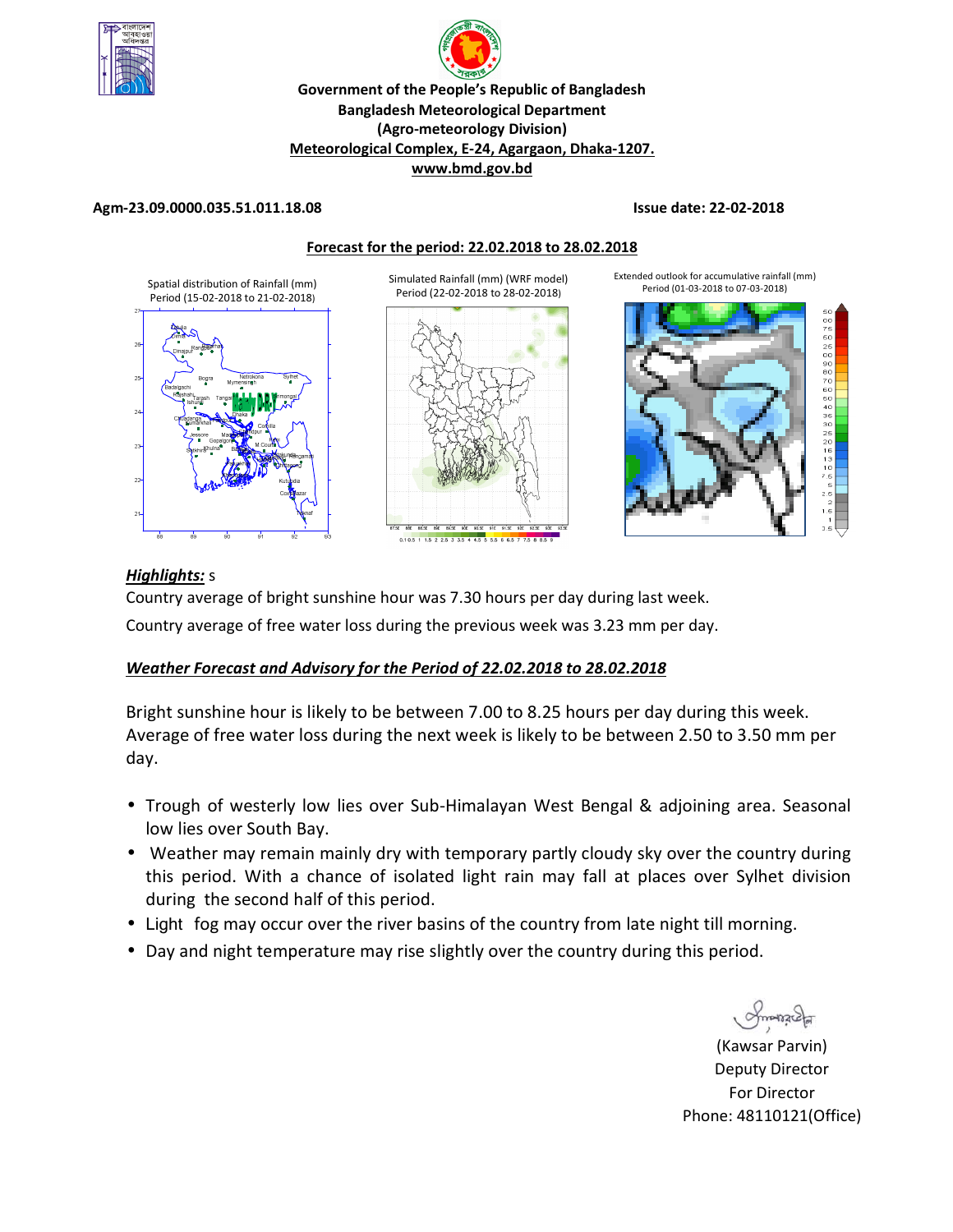



**Meteorological Complex, E-24, Agargaon, Dhaka-1207.** 

**www.bmd.gov.bd** 

### **Agm-23.09.0000.035.51.011.18.08 Issue date: 22-02-2018**





## *Highlights:* s

Country average of bright sunshine hour was 7.30 hours per day during last week.

Country average of free water loss during the previous week was 3.23 mm per day.

## *Weather Forecast and Advisory for the Period of 22.02.2018 to 28.02.2018*

Bright sunshine hour is likely to be between 7.00 to 8.25 hours per day during this week. Average of free water loss during the next week is likely to be between 2.50 to 3.50 mm per day.

- Trough of westerly low lies over Sub-Himalayan West Bengal & adjoining area. Seasonal low lies over South Bay.
- Weather may remain mainly dry with temporary partly cloudy sky over the country during this period. With a chance of isolated light rain may fall at places over Sylhet division during the second half of this period.
- Light fog may occur over the river basins of the country from late night till morning.
- Day and night temperature may rise slightly over the country during this period.

(Kawsar Parvin) Deputy Director For Director Phone: 48110121(Office)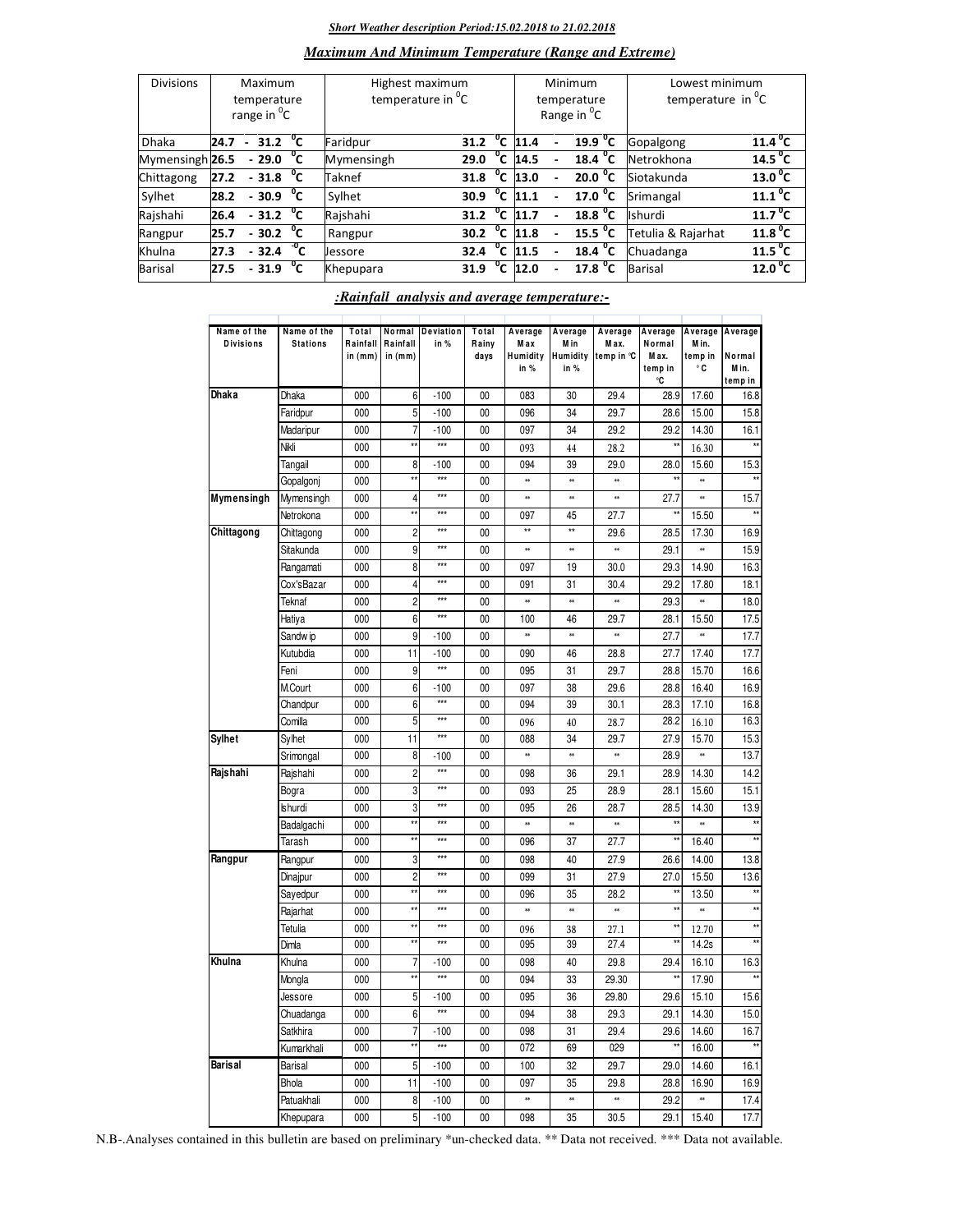### *Short Weather description Period:15.02.2018 to 21.02.2018*

## *Maximum And Minimum Temperature (Range and Extreme)*

| <b>Divisions</b>           | Maximum<br>temperature<br>range in <sup>o</sup> C |                           |  |    | Highest maximum<br>temperature in <sup>o</sup> C |      |                |      | Minimum<br>temperature<br>Range in <sup>o</sup> C | Lowest minimum<br>temperature in $^0C$ |                       |  |
|----------------------------|---------------------------------------------------|---------------------------|--|----|--------------------------------------------------|------|----------------|------|---------------------------------------------------|----------------------------------------|-----------------------|--|
| <b>Dhaka</b>               | 24.7                                              | $-31.2 \text{ }^{\circ}C$ |  |    | Faridpur                                         | 31.2 | $^{\circ}$ c   | 11.4 | 19.9 $^{\circ}$ C                                 | Gopalgong                              | $11.4^{\circ}$ C      |  |
| Mymensingh <sub>26.5</sub> |                                                   | $-29.0\text{ °C}$         |  |    | Mymensingh                                       | 29.0 | °c             | 14.5 | 18.4 $^{\circ}$ C                                 | Netrokhona                             | 14.5 $^{\circ}$ C     |  |
| Chittagong                 | 27.2                                              | $-31.8$ °C                |  |    | Taknef                                           | 31.8 | °c             | 13.0 | $20.0\degree$ C                                   | Siotakunda                             | $13.0$ <sup>o</sup> C |  |
| Sylhet                     | 28.2                                              | $-30.9\degree$ C          |  |    | Sylhet                                           | 30.9 | $^{\circ}$ c   | 11.1 | 17.0 $^{\circ}$ C                                 | Srimangal                              | $11.1^{\circ}$ C      |  |
| Rajshahi                   | 26.4                                              | $-31.2$ <sup>o</sup> C    |  |    | Rajshahi                                         | 31.2 | $^0$ C         | 11.7 | 18.8 <sup>o</sup> C                               | Ishurdi                                | 11.7 <sup>0</sup> C   |  |
| Rangpur                    | 25.7                                              | $-30.2 \text{ }^{\circ}C$ |  |    | Rangpur                                          | 30.2 | $^0$ C         | 11.8 | $15.5 \text{ °C}$                                 | Tetulia & Rajarhat                     | 11.8 <sup>0</sup> C   |  |
| Khulna                     | 27.3                                              | $-32.4~^oC$               |  |    | Jessore                                          | 32.4 | $^{\circ}$ c   | 11.5 | 18.4 $^{\circ}$ C                                 | Chuadanga                              | 11.5 $^{\circ}$ C     |  |
| Barisal                    | 27.5                                              | $-31.9$                   |  | °⊂ | Khepupara                                        | 31.9 | $\overline{c}$ | 12.0 | 17.8 <sup>o</sup> C                               | <b>Barisal</b>                         | 12.0 <sup>o</sup> C   |  |

## *:Rainfall analysis and average temperature:-*

| Name of the<br><b>Divisions</b> | Name of the<br><b>Stations</b> | Total<br>Rainfall<br>in (mm) | Normal<br>Rainfall<br>in $(mm)$ | Deviation<br>in % | Total<br>Rainy<br>days | Average<br>M ax<br>Humidity<br>in % | Average<br>M in<br>Humidity<br>in % | Average<br>Max.<br>temp in °C | Average<br>Normal<br>M ax.<br>temp in<br>۰C | Average<br>M in.<br>temp in<br>$^{\circ}$ C | Average<br>Normal<br>Min.<br>temp in |
|---------------------------------|--------------------------------|------------------------------|---------------------------------|-------------------|------------------------|-------------------------------------|-------------------------------------|-------------------------------|---------------------------------------------|---------------------------------------------|--------------------------------------|
| Dhaka                           | Dhaka                          | 000                          | 6                               | $-100$            | 00                     | 083                                 | 30                                  | 29.4                          | 28.9                                        | 17.60                                       | 16.8                                 |
|                                 | Faridpur                       | 000                          | 5                               | $-100$            | 00                     | 096                                 | 34                                  | 29.7                          | 28.6                                        | 15.00                                       | 15.8                                 |
|                                 | Madaripur                      | 000                          | $\overline{7}$                  | $-100$            | 00                     | 097                                 | 34                                  | 29.2                          | 29.2                                        | 14.30                                       | 16.1                                 |
|                                 | Nikli                          | 000                          |                                 | $\ddot{x}$        | 00                     | 093                                 | 44                                  | 28.2                          |                                             | 16.30                                       |                                      |
|                                 | Tangail                        | 000                          | 8                               | $-100$            | 00                     | 094                                 | 39                                  | 29.0                          | 28.0                                        | 15.60                                       | 15.3                                 |
|                                 | Gopalgonj                      | 000                          | ÷.                              | $***$             | 00                     | *                                   | *                                   | **                            |                                             | *                                           | $\star$                              |
| Mymensingh                      | Mymensingh                     | 000                          | 4                               | $***$             | 00                     | *                                   | *                                   | **                            | 27.7                                        | ×                                           | 15.7                                 |
|                                 | Netrokona                      | 000                          | x                               | $***$             | 00                     | 097                                 | 45                                  | 27.7                          | x,                                          | 15.50                                       | $\star\star$                         |
| Chittagong                      | Chittagong                     | 000                          | $\overline{c}$                  | $***$             | 00                     | $\star\star$                        | $\star\star$                        | 29.6                          | 28.5                                        | 17.30                                       | 16.9                                 |
|                                 | Sitakunda                      | 000                          | 9                               | $\ddot{x}$        | 00                     | *                                   | *                                   | **                            | 29.1                                        | *                                           | 15.9                                 |
|                                 | Rangamati                      | 000                          | 8                               | $***$             | 00                     | 097                                 | 19                                  | 30.0                          | 29.3                                        | 14.90                                       | 16.3                                 |
|                                 | Cox'sBazar                     | 000                          | 4                               | $***$             | 00                     | 091                                 | 31                                  | 30.4                          | 29.2                                        | 17.80                                       | 18.1                                 |
|                                 | Teknaf                         | 000                          | $\overline{c}$                  | $***$             | 00                     | *                                   | *                                   | **                            | 29.3                                        | *                                           | 18.0                                 |
|                                 | Hatiya                         | 000                          | 6                               | $\star\star\star$ | 00                     | 100                                 | 46                                  | 29.7                          | 28.1                                        | 15.50                                       | 17.5                                 |
|                                 | Sandw ip                       | 000                          | 9                               | $-100$            | 00                     | *                                   | *                                   | **                            | 27.7                                        | *                                           | 17.7                                 |
|                                 | Kutubdia                       | 000                          | 11                              | $-100$            | 00                     | 090                                 | 46                                  | 28.8                          | 27.7                                        | 17.40                                       | 17.7                                 |
|                                 | Feni                           | 000                          | 9                               | $\star\star\star$ | 00                     | 095                                 | 31                                  | 29.7                          | 28.8                                        | 15.70                                       | 16.6                                 |
|                                 | M.Court                        | 000                          | 6                               | $-100$            | 00                     | 097                                 | 38                                  | 29.6                          | 28.8                                        | 16.40                                       | 16.9                                 |
|                                 | Chandpur                       | 000                          | 6                               | $***$             | 00                     | 094                                 | 39                                  | 30.1                          | 28.3                                        | 17.10                                       | 16.8                                 |
|                                 | Comilla                        | 000                          | 5                               | $***$             | 00                     | 096                                 | 40                                  | 28.7                          | 28.2                                        | 16.10                                       | 16.3                                 |
| Sylhet                          | Sylhet                         | 000                          | 11                              | ***               | 00                     | 088                                 | 34                                  | 29.7                          | 27.9                                        | 15.70                                       | 15.3                                 |
|                                 | Srimongal                      | 000                          | 8                               | $-100$            | 00                     | ×                                   | ×                                   | **                            | 28.9                                        | *                                           | 13.7                                 |
| Rajshahi                        | Rajshahi                       | 000                          | $\overline{c}$                  | $***$             | 00                     | 098                                 | 36                                  | 29.1                          | 28.9                                        | 14.30                                       | 14.2                                 |
|                                 | Bogra                          | 000                          | 3                               | $\star\star\star$ | 00                     | 093                                 | 25                                  | 28.9                          | 28.1                                        | 15.60                                       | 15.1                                 |
|                                 | <b>Ishurdi</b>                 | 000                          | 3                               | $***$             | 00                     | 095                                 | 26                                  | 28.7                          | 28.5                                        | 14.30                                       | 13.9                                 |
|                                 | Badalgachi                     | 000                          | żś                              | $***$             | 00                     | *                                   | *                                   | **                            |                                             | $\ast$                                      |                                      |
|                                 | Tarash                         | 000                          |                                 | $\ddot{x}$        | 00                     | 096                                 | 37                                  | 27.7                          |                                             | 16.40                                       |                                      |
| Rangpur                         | Rangpur                        | 000                          | 3                               | $***$             | 00                     | 098                                 | 40                                  | 27.9                          | 26.6                                        | 14.00                                       | 13.8                                 |
|                                 | Dinajpur                       | 000                          | $\overline{c}$                  | $***$             | 00                     | 099                                 | 31                                  | 27.9                          | 27.0                                        | 15.50                                       | 13.6                                 |
|                                 | Sayedpur                       | 000                          | x                               | $***$             | 00                     | 096                                 | 35                                  | 28.2                          | **                                          | 13.50                                       | $\star$                              |
|                                 | Rajarhat                       | 000                          | ÷.                              | $***$             | 00                     | *                                   | *                                   | ×                             | ź,                                          | *                                           | $\star\star$                         |
|                                 | Tetulia                        | 000                          | źś                              | $\ddot{x}$        | 00                     | 096                                 | 38                                  | 27.1                          | **                                          | 12.70                                       | $\star\star$                         |
|                                 | Dimla                          | 000                          |                                 | $***$             | 00                     | 095                                 | 39                                  | 27.4                          |                                             | 14.2s                                       | $\star$                              |
| Khulna                          | Khulna                         | 000                          | 7                               | $-100$            | 00                     | 098                                 | 40                                  | 29.8                          | 29.4                                        | 16.10                                       | 16.3                                 |
|                                 | Mongla                         | 000                          | źś                              | $***$             | 00                     | 094                                 | 33                                  | 29.30                         |                                             | 17.90                                       |                                      |
|                                 |                                |                              |                                 |                   |                        |                                     |                                     |                               |                                             |                                             |                                      |
|                                 | Jessore                        | 000<br>000                   | 5<br>6                          | $-100$<br>$***$   | 00<br>00               | 095<br>094                          | 36<br>38                            | 29.80<br>29.3                 | 29.6<br>29.1                                | 15.10<br>14.30                              | 15.6<br>15.0                         |
|                                 | Chuadanga                      |                              | 7                               |                   |                        | 098                                 |                                     | 29.4                          |                                             |                                             |                                      |
|                                 | Satkhira                       | 000<br>000                   | żź                              | $-100$<br>***     | 00<br>00               | 072                                 | 31<br>69                            | 029                           | 29.6<br>ź,                                  | 14.60<br>16.00                              | 16.7<br>x.                           |
|                                 | Kumarkhali                     |                              |                                 |                   |                        |                                     |                                     |                               |                                             |                                             |                                      |
| <b>Barisal</b>                  | Barisal                        | 000                          | 5                               | $-100$            | 00                     | 100<br>097                          | 32<br>35                            | 29.7                          | 29.0                                        | 14.60                                       | 16.1                                 |
|                                 | Bhola                          | 000                          | 11                              | $-100$            | 00                     | *                                   | *                                   | 29.8<br>**                    | 28.8                                        | 16.90                                       | 16.9                                 |
|                                 | Patuakhali                     | 000                          | 8                               | $-100$            | 00                     |                                     |                                     |                               | 29.2                                        | *                                           | 17.4                                 |
|                                 | Khepupara                      | 000                          | 5                               | $-100$            | 00                     | 098                                 | 35                                  | 30.5                          | 29.1                                        | 15.40                                       | 17.7                                 |

N.B-.Analyses contained in this bulletin are based on preliminary \*un-checked data. \*\* Data not received. \*\*\* Data not available.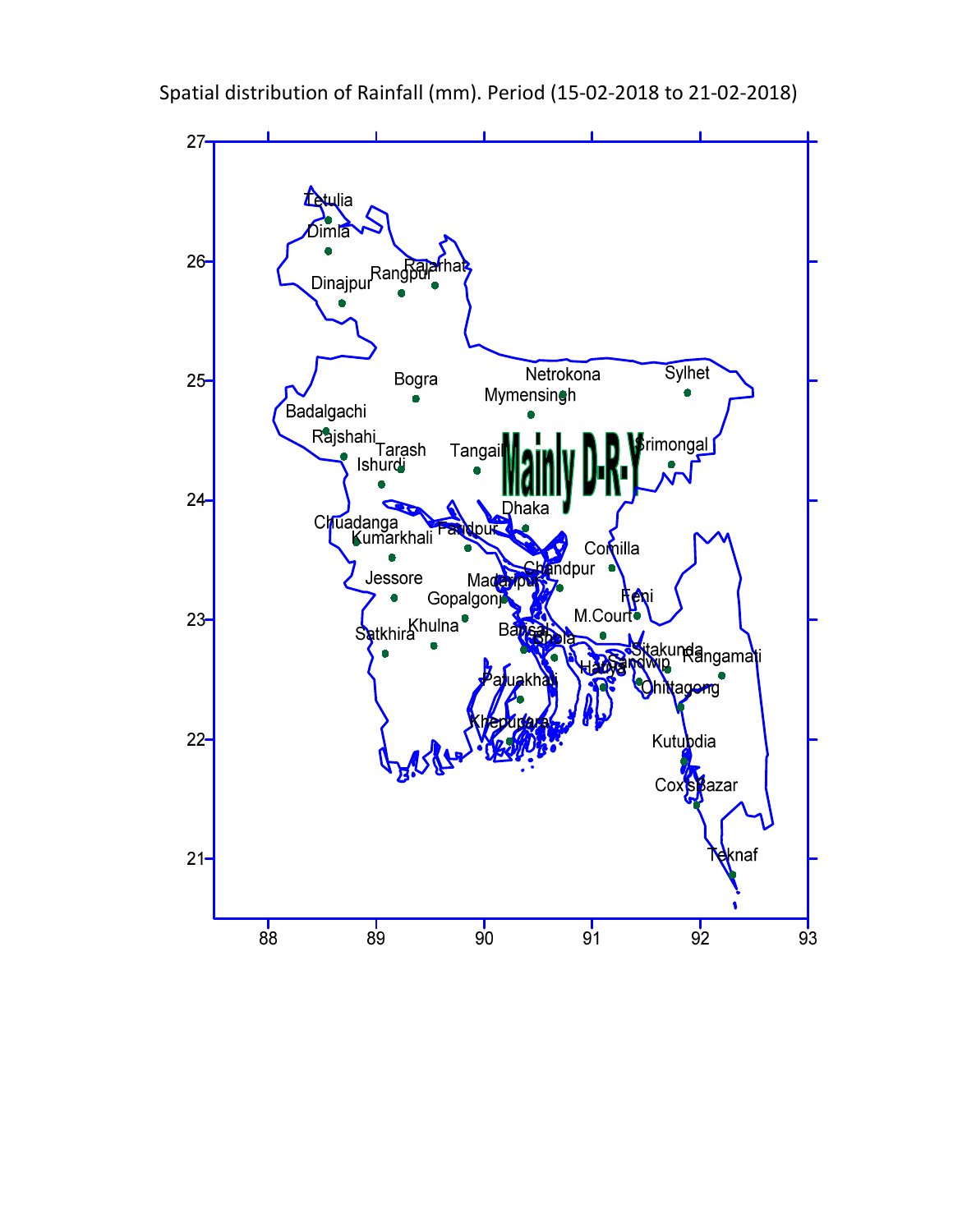

Spatial distribution of Rainfall (mm). Period (15-02-2018 to 21-02-2018)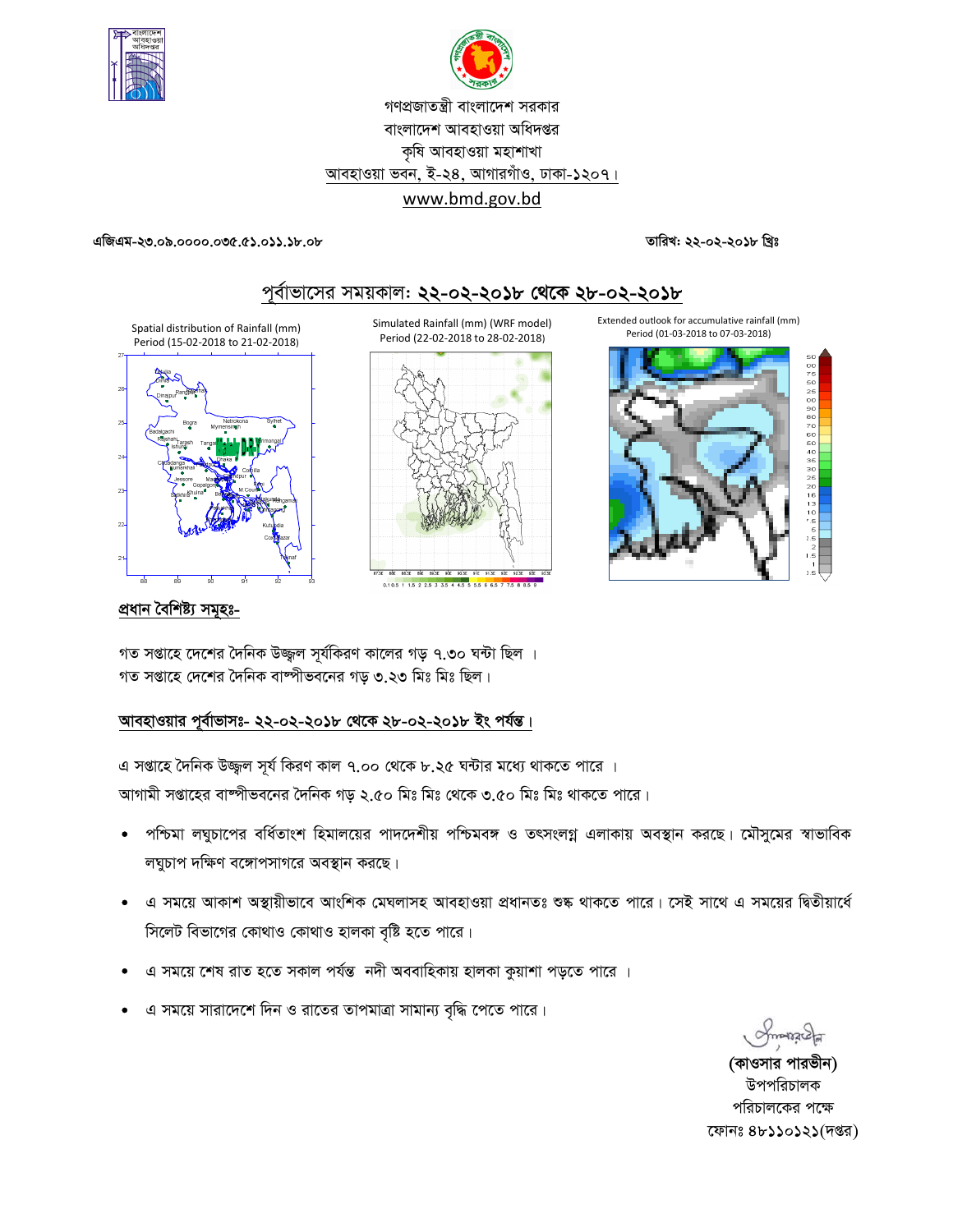

গণপ্রজাতন্ত্রী বাংলাদেশ সরকার বাংলাদেশ আবহাওয়া অধিদপ্তর কৃষি আবহাওয়া মহাশাখা আবহাওয়া ভবন, ই-২৪, আগারগাঁও, ঢাকা-১২০৭। www.bmd.gov.bd

**GwRGg-23.09.0000.035.51.011.18.08 ZvwiL: 22-02-2018 wLªt**



# পূর্বাভাসের সময়কাল: **২২-০২-২০১৮ থেকে ২৮-০২-২০১৮**

Period (15-02-2018 to 21-02-2018)



Simulated Rainfall (mm) (WRF model) Period (22-02-2018 to 28-02-2018)





### প্ৰধান বৈশিষ্ট্য সমূহঃ-

গত সপ্তাহে দেশের দৈনিক উজ্জ্বল সূর্যকিরণ কালের গড় ৭.৩০ ঘন্টা ছিল । গত সপ্তাহে দেশের দৈনিক বাষ্পীভবনের গড় ৩.২৩ মিঃ মিঃ ছিল।

## আবহাওয়ার পূর্বাভাসঃ- ২২-০২-২০**১৮ থেকে ২৮-০২-২০১৮ ইং পর্যন্ত।**

এ সপ্তাহে দৈনিক উজ্জুল সূর্য কিরণ কাল ৭.০০ থেকে ৮.২৫ ঘন্টার মধ্যে থাকতে পারে । আগামী সপ্তাহের বাষ্পীভবনের দৈনিক গড় ২.৫০ মিঃ মিঃ থেকে ৩.৫০ মিঃ মিঃ থাকতে পারে।

- পশ্চিমা লঘুচাপের বর্ধিতাংশ হিমালয়ের পাদদেশীয় পশ্চিমবঙ্গ ও তৎসংলগ্ন এলাকায় অবস্থান করছে। মৌসুমের স্বাভাবিক লঘুচাপ দক্ষিণ বঙ্গোপসাগরে অবস্থান করছে।
- এ সময়ে আকাশ অস্থায়ীভাবে আংশিক মেঘলাসহ আবহাওয়া প্ৰধানতঃ শুষ্ক থাকতে পারে। সেই সাথে এ সময়ের দ্বিতীয়ার্ধে সিলেট বিভাগের কোথাও কোথাও হালকা বৃষ্টি হতে পারে।
- এ সময়ে শেষ রাত হতে সকাল পর্যন্ত নদী অববাহিকায় হালকা কুয়াশা পড়তে পারে ।
- এ সময়ে সারাদেশে দিন ও রাতের তাপমাত্রা সামান্য বৃদ্ধি পেতে পারে।

**Postan** 

(কাওসার পারভীন) উপপরিচালক পরিচালকের পক্ষে কোনঃ ৪৮১১০১২১(দপ্তর)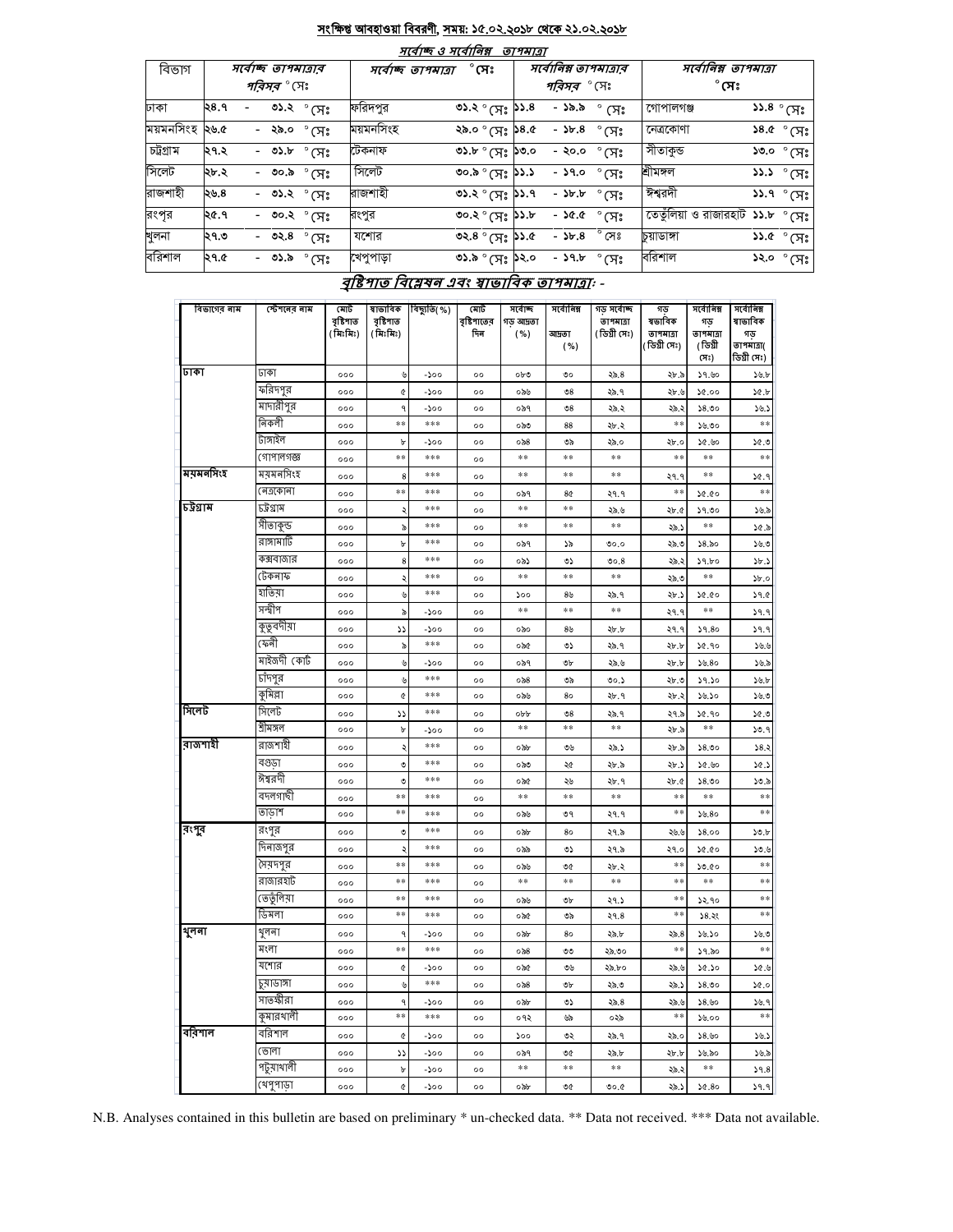### সংক্ষিপ্ত আবহাওয়া বিবরণী, সময়: ১৫.০২.২০১৮ থেকে ২১.০২.২০১৮  $\overline{+}$

 $\overline{\phantom{a}}$ 

 $-$ 

|           |                    |  |        |                       |                                    | માવાજ હ માવાાવક્ષ                                 | <i>פומיופ</i> |                       |                        |                                  |                                      |  |
|-----------|--------------------|--|--------|-----------------------|------------------------------------|---------------------------------------------------|---------------|-----------------------|------------------------|----------------------------------|--------------------------------------|--|
| বিভাগ     | সবোচ্ছ তাপমাত্ৰাৰ  |  |        |                       | $^\circ$ সেঃ<br>সৰ্বোচ্ছ তাপমাত্ৰা |                                                   |               | সর্বোনিম্ন তাপমাত্রার |                        | সর্বোনিম্ন তাপমাত্রা             |                                      |  |
|           | <i>পরিসর °</i> (সঃ |  |        |                       |                                    |                                                   |               | <i>পরিসর °</i> (সঃ    |                        | $^{\circ}$ সেঃ                   |                                      |  |
| ঢাকা      | ২৪.৭               |  |        | ৩১.২ ° সেঃ            | ফরিদপুর                            | $\circ$ ১.২ $\circ$ (সঃ ১১.৪                      |               | - ১৯.৯                | ° (त्र:                | গোপালগঞ্জ                        | $55.8^\circ$ (সঃ                     |  |
| ময়মনসিংহ | ২৬.৫               |  | - ২৯.০ | $^{\circ}$ (সঃ        | ময়মনসিংহ                          | ১.৪ <b>৫</b> ঃµ° ০. <i>৯২</i>                     |               | $ 55.8$               | $\degree$ CH $\degree$ | নেত্ৰকোণা                        | ১৪.৫ $^{\circ}$ সেঃ                  |  |
| চট্টগ্ৰাম | ।২৭.২              |  |        | - ৩১.৮ $^{\circ}$ (সঃ | টেকনাফ                             | $\circ$ or $\circ$ $\Delta$ $\circ$ $\circ$       |               | - ২০.০                | $^\circ$ (সঃ           | সীতাকুন্ড                        | ১৩.০ ° (সঃ                           |  |
| সিলেট     | ২৮.২               |  | - ৩০.৯ | $^\circ$ সেঃ          | সিলেট                              | $\circ \circ \circ \circ \circ \circ$             |               | - ১৭.০                | $^{\circ}$ সেঃ         | শ্ৰীমঙ্গল                        | $\mathcal{S}$ ১.১ $\mathcal{S}$ (সেঃ |  |
| রাজশাহী   | ২৬.৪               |  |        | - ৩১.২ ° সেঃ          | রাজশাহী                            | ৩১.২ $^{\circ}$ মেঃ ১১.৭                          |               | $ \delta$ b, b        | $^\circ$ সেঃ           | ঈশ্বরদী                          | $55.9^\circ$ (সঃ $'$                 |  |
| রংপূর     | ২৫.৭               |  |        | - ৩০.২ $^{\circ}$ (সঃ | রংপুর                              | ৩০.২ $^{\circ}$ (সঃ ১১.৮                          |               | - ১৫.৫                | $^{\circ}$ (সঃ         | তেতুঁলিয়া ও রাজারহাট ১১.৮ ° (সঃ |                                      |  |
| খুলনা     | ২৭.৩               |  | - ৩২.৪ | $^\circ$ সেঃ          | যশোর                               | ৩২.৪ $^{\circ}$ (স $_{3}$ ১১.৫                    |               | $ 5b.8$               | $^{\circ}$ সেঃ         | চয়াডাঙ্গা                       | ১১.৫ $^{\circ}$ (সঃ                  |  |
| বরিশাল    | ২৭.৫               |  | - ৩১.৯ | $^{\circ}$ (সঃ        | খেপুপাড়া                          | $\circ$ و $\mathcal{A}^s$ و $\mathcal{S}^{\circ}$ |               | - ১৭.৮                | $^\circ$ সেঃ           | বরিশাল                           | ১২.০ ° সেঃ                           |  |
|           |                    |  |        |                       |                                    |                                                   |               |                       |                        |                                  |                                      |  |

# বৃষ্টিপাত বিশ্লেষন এবং ম্বাভাবিক তাপমাত্রা: -

| বিভাগের নাম | স্টেশনের নাম       | মোট<br>বৃষ্টিশাত<br>(মিঃমিঃ) | ষাভাবিক<br>বৃষ্টিপাত<br>(মিঃমিঃ) | বিছ্যুতি( %) | মোট<br>বৃষ্টিশাতের<br>দিন | সৰ্বোচ্ছ<br>গড আদ্রতা<br>( %) | সৰ্বোনিম্ন<br>আদ্ৰতা<br>( %) | গড় সৰ্বোচ্ছ<br>তাপমাত্রা<br>(ডিগ্ৰী সেঃ) | গড<br>ষভাবিক<br>তাপমাত্রা<br>(ডিগ্ৰী সেঃ) | সৰ্বোনিম্ন<br>গড<br>তাপমাত্রা<br>(ডিগ্ৰী | সৰ্বোনিম্ন<br>ষাভাবিক<br>গড<br>তাপমাত্রা( |
|-------------|--------------------|------------------------------|----------------------------------|--------------|---------------------------|-------------------------------|------------------------------|-------------------------------------------|-------------------------------------------|------------------------------------------|-------------------------------------------|
| ঢাকা        | ঢাকা               |                              |                                  |              |                           |                               |                              |                                           |                                           | (সঃ)                                     | ডিগ্রী সেঃ)                               |
|             |                    | 000                          | y                                | -১০০         | $^{\circ}$                | $ob$ $\mathcal O$             | ৩০                           | ২৯.৪                                      | ২৮.৯                                      | 59.60                                    | $\mathcal{L} \cup \mathcal{L}$            |
|             | ফরিদপুর            | 000                          | ¢                                | -১০০         | $^{\circ}$                | ০৯৬                           | $\mathcal{O}8$               | ২৯.৭                                      | ২৮.৬                                      | 00.96                                    | 30.5                                      |
|             | মাদারীপুর<br>নিকলী | 000                          | $\ddot{ }$                       | -১০০         | $^{\circ}$                | ০৯৭                           | $\mathcal{O}8$               | ২৯.২                                      | ২৯.২                                      | 58.00                                    | 38.5                                      |
|             |                    | 000                          | $* *$                            | ***          | $^{\circ}$                | ಂಸಿಂ                          | 88                           | ২৮.২                                      | **                                        | ১৬.৩০                                    | **                                        |
|             | টাঙ্গাইল           | 000                          | b                                | -১০০         | $^{\circ}$                | ০৯৪                           | ৩৯                           | ২৯.০                                      | ২৮.০                                      | ১৫.৬০                                    | 0.96                                      |
|             | গোপালগজ্ঞ          | 000                          | **                               | ***          | $^{\circ}$                | $\ast\ast$                    | $**$                         | $\ast\ast$                                | $**$                                      | $**$                                     | **                                        |
| ময়মনসিংহ   | ময়মনসিংহ          | 000                          | 8                                | ***          | $^{\circ}$                | $\pm\pm$                      | $**$                         | $\ast\ast$                                | ২৭.৭                                      | **                                       | 30.9                                      |
|             | নেত্ৰকোনা          | 000                          | **                               | ***          | 00                        | ০৯৭                           | 8¢                           | ২৭.৭                                      | **                                        | 50.00                                    | **                                        |
| চউগ্ৰাম     | চট্টগ্ৰাম          | 000                          | ډ                                | ***          | $^{\circ}$                | $**$                          | $**$                         | ২৯.৬                                      | ২৮.৫                                      | 59.00                                    | ১৬.৯                                      |
|             | সীতাকুন্ড          | 000                          | ৯                                | ***          | $^{\circ}$                | $\pm\pm$                      | $**$                         | $\ast\ast$                                | ২৯.১                                      | $**$                                     | ১৫.৯                                      |
|             | রাঙ্গামাটি         | 000                          | b                                | ***          | 00                        | ০৯৭                           | $\mathcal{S}$                | 0.00                                      | ২৯.৩                                      | 58.50                                    | 59.9                                      |
|             | কক্সবাজার          | 000                          | 8                                | ***          | $^{\circ}$                | ০৯১                           | دە                           | 00.8                                      | ২৯.২                                      | 59.bo                                    | 3b.5                                      |
|             | টেকনাফ             | 000                          | ¢                                | $***$        | $^{\circ}$                | $\pm \pm$                     | $\ast$                       | $\pm\pm$                                  | ২৯.৩                                      | $\ast$                                   | b.0                                       |
|             | হাতিয়া            | 000                          | ৬                                | ***          | 00                        | $\mathcal{L}^{\circ}$         | $8\%$                        | ২৯.৭                                      | ২৮.১                                      | 50.00                                    | 39.0                                      |
|             | সন্দ্বীপ           | 000                          | ৯                                | -১০০         | $^{\circ}$                | $**$                          | $* *$                        | **                                        | २१.१                                      | **                                       | 39.9                                      |
|             | কুতুবদীয়া         | 000                          | دد                               | -১০০         | $^{\circ}$                | ০৯০                           | 8 <sub>b</sub>               | ২৮.৮                                      | ২৭.৭                                      | 59.80                                    | 39.9                                      |
|             | কেনী               | 000                          | ৯                                | ***          | 00                        | ০৯৫                           | ৩১                           | ২৯.৭                                      | ২৮.৮                                      | 30.90                                    | 39.9                                      |
|             | মাইজদী কোট         | 000                          | ৬                                | -১০০         | $^{\circ}$                | ০৯৭                           | ৩৮                           | ২৯.৬                                      | <b>2b.b</b>                               | 30.80                                    | ১৬.৯                                      |
|             | চাঁদপুর            | 000                          | ৬                                | ***          | $^{\circ}$                | $\circ$ $\delta$ 8            | ৩৯                           | 00.5                                      | ২৮.৩                                      | 59.50                                    | $\mathcal{A}$                             |
|             | কুমিল্লা           | 000                          | ¢                                | ***          | 00                        | ০৯৬                           | 80                           | ২৮.৭                                      | ২৮.২                                      | ১৬.১০                                    | 56.0                                      |
| সিলেট       | সিলেট              | 000                          | دد                               | ***          | $^{\circ}$                | opp                           | $\mathcal{O}8$               | ২৯.৭                                      | ২৭.৯                                      | ১৫.৭০                                    | 0.96                                      |
|             | শ্ৰীমঙ্গল          | 000                          | b                                | -১০০         | $^{\circ}$                | **                            | $\ast$                       | $\pm \pm$                                 | ২৮.৯                                      | $\pm \pm$                                | 30.9                                      |
| রাজশাহী     | রাজশাহী            | 000                          | ۵                                | ***          | $^{\circ}$                | ০৯৮                           | ৩৬                           | ২৯.১                                      | ২৮.৯                                      | 58.00                                    | 38.3                                      |
|             | বগুডা              | 000                          | ৩                                | ***          | 00                        | ಂನಿಲಿ                         | ২৫                           | ২৮.৯                                      | ২৮.১                                      | ১৫.৬০                                    | 30.5                                      |
|             | ঈশ্বরদী            | 000                          | ৩                                | ***          | $^{\circ}$                | ০৯৫                           | ২৬                           | ২৮.৭                                      | ২৮.৫                                      | 58.00                                    | 50.5                                      |
|             | বদলগাছী            | 000                          | $**$                             | ***          | $^{\circ}$                | $**$                          | $**$                         | $**$                                      | $**$                                      | **                                       | $**$                                      |
|             | তাডাশ              | 000                          | **                               | ***          | $^{\circ}$                | ০৯৬                           | ৩৭                           | ২৭.৭                                      | $\ast$                                    | 30.80                                    | $**$                                      |
| রংপুর       | রংপুর              | 000                          | ৩                                | ***          | $^{\circ}$                | ০৯৮                           | 80                           | ২৭.৯                                      | ২৬.৬                                      | 58.00                                    | 30.b                                      |
|             | দিনাজপুর           | 000                          | ډ                                | ***          | $^{\circ}$                | ০৯৯                           | ৩১                           | ২৭.৯                                      | ২৭.০                                      | 09.96                                    | 50.6                                      |
|             | সৈয়দপুর           | 000                          | **                               | ***          | 00                        | ০৯৬                           | ৩৫                           | ২৮.২                                      | **                                        | 50.00                                    | $**$                                      |
|             | রাজারহাট           | 000                          | $**$                             | ***          | $^{\circ}$                | **                            | **                           | **                                        | **                                        | **                                       | **                                        |
|             | ভেতুলিয়া          | 000                          | $**$                             | ***          | $^{\circ}$                | ০৯৬                           | ৩৮                           | ২৭.১                                      | $\ast\ast$                                | 32.90                                    | $\ast\ast$                                |
|             | ডিমলা              | 000                          | $**$                             | ***          | 00                        | ০৯৫                           | ৩৯                           | 29.8                                      | **                                        | 38.38                                    | **                                        |
| থুলনা       | থুলনা              | 000                          | $\mathsf{G}$                     | -১০০         | $^{\circ}$                | ০৯৮                           | 80                           | ২৯.৮                                      | ২৯.৪                                      | ১৬.১০                                    | ১৬.৩                                      |
|             | মংলা               | 000                          | **                               | $***$        | $^{\circ}$                | $\circ$ ನಿ8                   | ৩৩                           | ২৯.৩০                                     | $* *$                                     | ১৭.৯০                                    | $**$                                      |
|             | যশোর               | 000                          | ¢                                | -১০০         | $^{\circ}$                | ০৯৫                           | ৩৬                           | ২৯.৮০                                     | ২৯.৬                                      | ১৫.১০                                    | ১৫.৬                                      |
|             | ঢ়য়ড়াঈা          | 000                          | ৬                                | ***          | $^{\circ}$                | ০৯৪                           | ৩৮                           | ২৯.৩                                      | ২৯.১                                      | 58.00                                    | 30.0                                      |
|             | সাতক্ষীরা          | 000                          | ٩                                | -১০০         | 00                        | ০৯৮                           | ৩১                           | 25.8                                      | ২৯.৬                                      | 58.50                                    | 38.9                                      |
|             | কুমারখালী          | 000                          | $* *$                            | ***          | 00                        | ०१२                           | <b>Up</b>                    | ০২৯                                       | $* *$                                     | 38.00                                    | **                                        |
| বরিশাল      | বরিশাল             | 000                          | ¢                                | -200         | $^{\circ}$                | 500                           | ৩২                           | ২৯.৭                                      | ২৯.০                                      | 58.90                                    | 38.5                                      |
|             | ভোলা               | 000                          | دد                               | -১০০         | 00                        | ০৯৭                           | 9¢                           | ২৯.৮                                      | 2b.b                                      | ১৬.৯০                                    | ১৬.৯                                      |
|             | পটুয়াথালী         | 000                          | b                                | -১০০         | $^{\circ}$                | $\ast\ast$                    | $\ast\ast$                   | $\pm\pm$                                  | ২৯.২                                      | **                                       | 39.8                                      |
|             | থেপুপাড়া          | 000                          | $\pmb{\mathfrak{C}}$             | -১০০         | $^{\circ}$                | ০৯৮                           | ৩৫                           | ৩০.৫                                      | ২৯.১                                      | 50.80                                    | 39.9                                      |

N.B. Analyses contained in this bulletin are based on preliminary \* un-checked data. \*\* Data not received. \*\*\* Data not available.